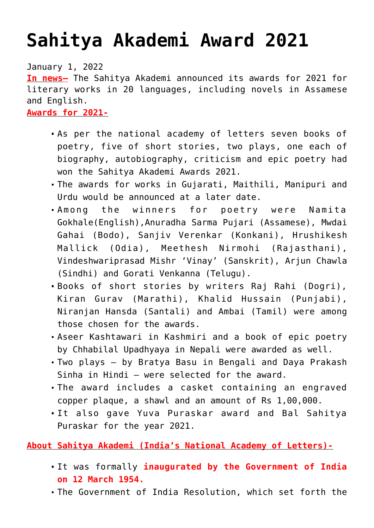## **[Sahitya Akademi Award 2021](https://journalsofindia.com/sahitya-akademi-award-2021/)**

January 1, 2022

**In news–** The Sahitya Akademi announced its awards for 2021 for literary works in 20 languages, including novels in Assamese and English.

**Awards for 2021-**

- As per the national academy of letters seven books of poetry, five of short stories, two plays, one each of biography, autobiography, criticism and epic poetry had won the Sahitya Akademi Awards 2021.
- The awards for works in Gujarati, Maithili, Manipuri and Urdu would be announced at a later date.
- Among the winners for poetry were Namita Gokhale(English),Anuradha Sarma Pujari (Assamese), Mwdai Gahai (Bodo), Sanjiv Verenkar (Konkani), Hrushikesh Mallick (Odia), Meethesh Nirmohi (Rajasthani), Vindeshwariprasad Mishr 'Vinay' (Sanskrit), Arjun Chawla (Sindhi) and Gorati Venkanna (Telugu).
- Books of short stories by writers Raj Rahi (Dogri), Kiran Gurav (Marathi), Khalid Hussain (Punjabi), Niranjan Hansda (Santali) and Ambai (Tamil) were among those chosen for the awards.
- Aseer Kashtawari in Kashmiri and a book of epic poetry by Chhabilal Upadhyaya in Nepali were awarded as well.
- Two plays by Bratya Basu in Bengali and Daya Prakash Sinha in Hindi — were selected for the award.
- The award includes a casket containing an engraved copper plaque, a shawl and an amount of Rs 1,00,000.
- It also gave Yuva Puraskar award and Bal Sahitya Puraskar for the year 2021.

**About Sahitya Akademi (India's National Academy of Letters)-**

- It was formally **inaugurated by the Government of India on 12 March 1954.**
- The Government of India Resolution, which set forth the